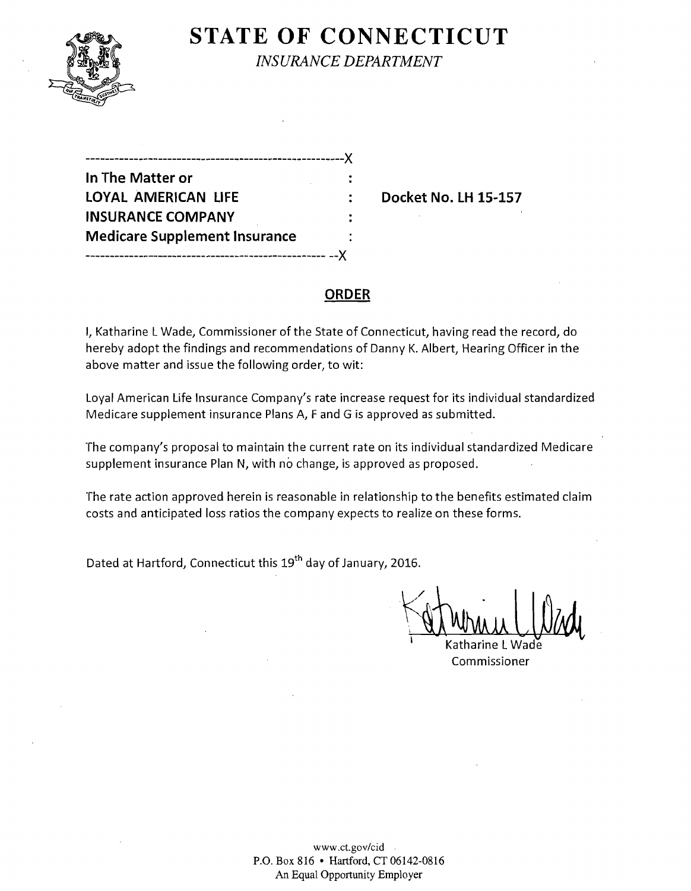

# **STATE OF CONNECTICUT**

*INSURANCE DEPARTMENT* 

| In The Matter or                     |  |
|--------------------------------------|--|
| LOYAL AMERICAN LIFE                  |  |
| <b>INSURANCE COMPANY</b>             |  |
| <b>Medicare Supplement Insurance</b> |  |
| ------------------------------       |  |

**Docket No. LH 15-157** 

### **ORDER**

I, Katharine L Wade, Commissioner of the State of Connecticut, having read the record, do hereby adopt the findings and recommendations of Danny K. Albert, Hearing Officer in the above matter and issue the following order, to wit:

Loyal American Life Insurance Company's rate increase request for its individual standardized Medicare supplement insurance Plans A, F and G is approved as submitted.

The company's proposal to maintain the current rate on its individual standardized Medicare supplement insurance Plan N, with no change, is approved as proposed.

The rate action approved herein is reasonable in relationship to the benefits estimated claim costs and anticipated loss ratios the company expects to realize on these forms.

Dated at Hartford, Connecticut this 19<sup>th</sup> day of January, 2016.

 $\kappa$   $\int_{0}^{10}$ <u>Al Which (Way</u>

Katharine L Commissioner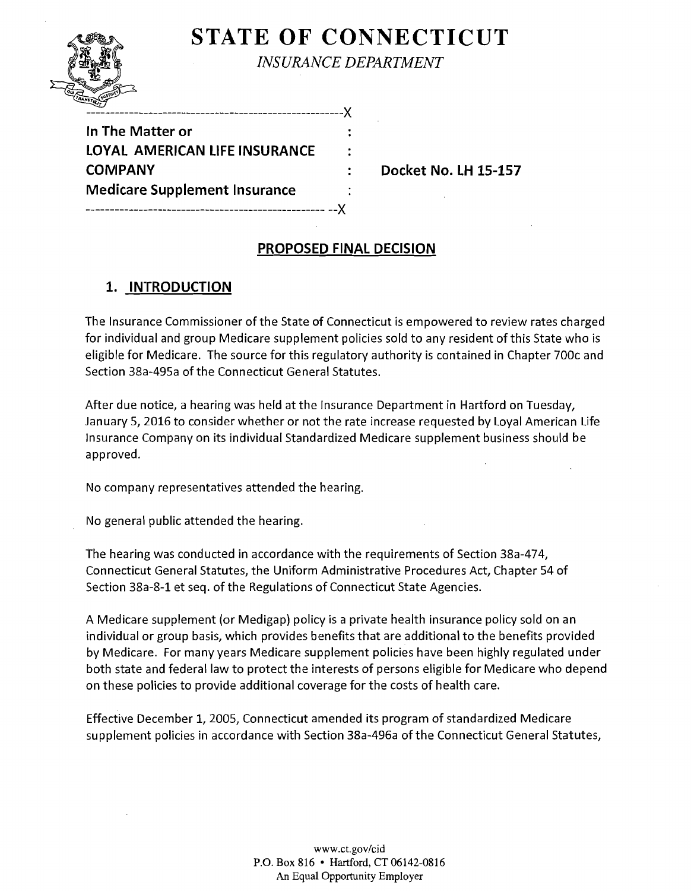## **STATE OF CONNECTICUT** *INSURANCE DEPARTMENT*



In The Matter or LOYAL AMERICAN LIFE INSURANCE **COMPANY Medicare Supplement Insurance** 

**Docket No. lH 15-157** 

## **PROPOSED FINAL DECISION**

## **1. INTRODUCTION**

The Insurance Commissioner of the State of Connecticut is empowered to review rates charged for individual and group Medicare supplement policies sold to any resident of this State who is eligible for Medicare. The source for this regulatory authority is contained in Chapter 700c and Section 3Ba-495a of the Connecticut General Statutes.

After due notice, a hearing was held at the Insurance Department in Hartford on Tuesday, January 5,2016 to consider whether or not the rate increase requested by Loyal American Life Insurance Company on its individual Standardized Medicare supplement business should be approved.

No company representatives attended the hearing.

No general public attended the hearing.

The hearing was conducted in accordance with the requirements of Section 3Ba-474, Connecticut General Statutes, the Uniform Administrative Procedures Act, Chapter 54 of Section 3Ba-B-1 et seq. of the Regulations of Connecticut State Agencies.

A Medicare supplement (or Medigap) policy is a private health insurance policy sold on an individual or group basis, which provides benefits that are additional to the benefits provided by Medicare. For many years Medicare supplement policies have been highly regulated under both state and federal law to protect the interests of persons eligible for Medicare who depend on these policies to provide additional coverage for the costs of health care.

Effective December 1, 2005, Connecticut amended its program of standardized Medicare supplement policies in accordance with Section 38a-496a ofthe Connecticut General Statutes,

> www.ct.gov/cid P.G. Box 816 • Hartford, CT 06142-0816 An Equal Opportunity Employer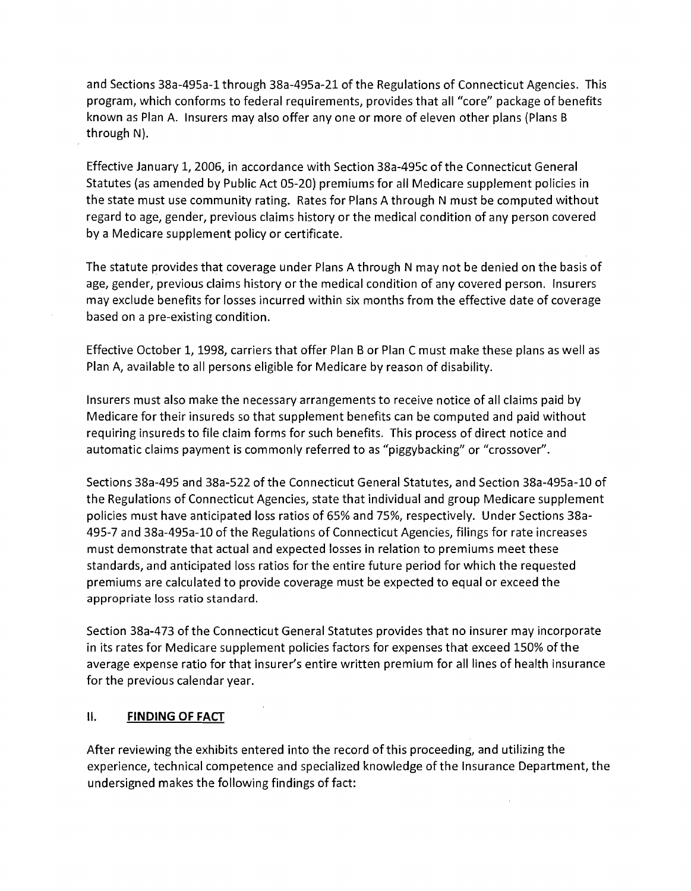and Sections 38a-495a-1 through 38a-495a-21 of the Regulations of Connecticut Agencies. This program, which conforms to federal requirements, provides that all "core" package of benefits known as Plan A. Insurers may also offer anyone or more of eleven other plans (Plans B through N).

Effective January 1, 2006, in accordance with Section 38a-495c of the Connecticut General Statutes (as amended by Public Act 05-20) premiums for all Medicare supplement policies in the state must use community rating. Rates for Plans A through N must be computed without regard to age, gender, previous claims history or the medical condition of any person covered by a Medicare supplement policy or certificate.

The statute provides that coverage under Plans A through N may not be denied on the basis of age, gender, previous claims history or the medical condition of any covered person. Insurers may exclude benefits for losses incurred within six months from the effective date of coverage based on a pre-existing condition.

Effective October 1,1998, carriers that offer Plan B or Plan C must make these plans as well as Plan A, available to all persons eligible for Medicare by reason of disability.

Insurers must also make the necessary arrangements to receive notice of all claims paid by Medicare for their insureds so that supplement benefits can be computed and paid without requiring insureds to file claim forms for such benefits. This process of direct notice and automatic claims payment is commonly referred to as "piggybacking" or "crossover".

Sections 38a-495 and 38a-522 ofthe Connecticut General Statutes, and Section 38a-495a-10 of the Regulations of Connecticut Agencies, state that individual and group Medicare supplement policies must have anticipated loss ratios of 65% and 75%, respectively. Under Sections 38a-495-7 and 38a-495a-10 of the Regulations of Connecticut Agencies, filings for rate increases must demonstrate that actual and expected losses in relation to premiums meet these standards, and anticipated loss ratios for the entire future period for which the requested premiums are calculated to provide coverage must be expected to equal or exceed the appropriate loss ratio standard.

Section 38a-473 of the Connecticut General Statutes provides that no insurer may incorporate in its rates for Medicare supplement policies factors for expenses that exceed 150% of the average expense ratio for that insurer's entire written premium for all lines of health insurance for the previous calendar year.

### II. **FINDING OF FACT**

After reviewing the exhibits entered into the record of this proceeding, and utilizing the experience, technical competence and specialized knowledge of the Insurance Department, the undersigned makes the following findings of fact: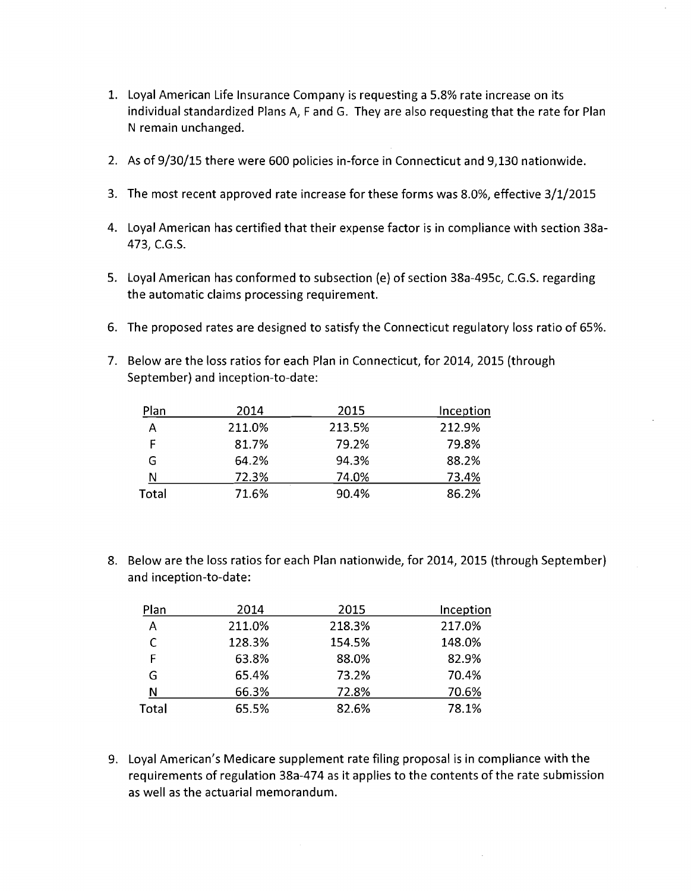- 1. Loyal American Life Insurance Company is requesting a 5.8% rate increase on its individual standardized Plans A, F and G. They are also requesting that the rate for Plan N remain unchanged.
- 2. As of 9/30/15 there were 600 policies in-force in Connecticut and 9,130 nationwide.
- 3. The most recent approved rate increase for these forms was 8.0%, effective 3/1/2015
- 4. Loyal American has certified that their expense factor is in compliance with section 38a-473, C.G.S.
- 5. Loyal American has conformed to subsection (e) of section 38a-495c, C.G.S. regarding the automatic claims processing requirement.
- 6. The proposed rates are designed to satisfy the Connecticut regulatory loss ratio of 65%.
- 7. Below are the loss ratios for each Plan in Connecticut, for 2014, 2015 (through September) and inception-to-date:

| Plan  | 2014   | 2015   | Inception |
|-------|--------|--------|-----------|
| А     | 211.0% | 213.5% | 212.9%    |
| F     | 81.7%  | 79.2%  | 79.8%     |
| G     | 64.2%  | 94.3%  | 88.2%     |
| N     | 72.3%  | 74.0%  | 73.4%     |
| Total | 71.6%  | 90.4%  | 86.2%     |

8. Below are the loss ratios for each Plan nationwide, for 2014, 2015 (through September) and inception-to-date:

| Plan  | 2014   | 2015   | Inception |
|-------|--------|--------|-----------|
| А     | 211.0% | 218.3% | 217.0%    |
| С     | 128.3% | 154.5% | 148.0%    |
| F     | 63.8%  | 88.0%  | 82.9%     |
| G     | 65.4%  | 73.2%  | 70.4%     |
| N     | 66.3%  | 72.8%  | 70.6%     |
| Total | 65.5%  | 82.6%  | 78.1%     |

9. Loyal American's Medicare supplement rate filing proposal is in compliance with the requirements of regulation 38a-474 as it applies to the contents of the rate submission as well as the actuarial memorandum.